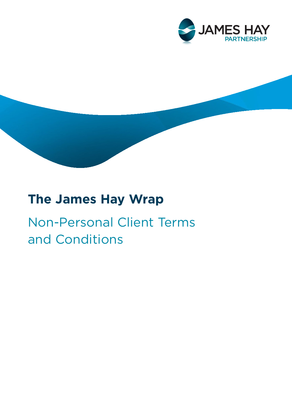

# **The James Hay Wrap**

# Non-Personal Client Terms and Conditions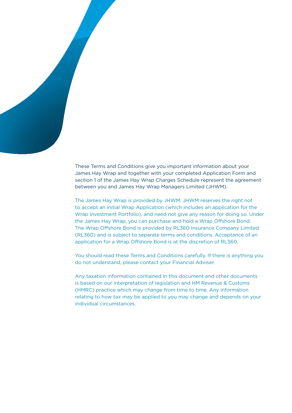

These Terms and Conditions give you important information about your James Hay Wrap and together with your completed Application Form and section 1 of the James Hay Wrap Charges Schedule represent the agreement between you and James Hay Wrap Managers Limited (JHWM).

The James Hay Wrap is provided by JHWM. JHWM reserves the right not to accept an initial Wrap Application (which includes an application for the Wrap Investment Portfolio), and need not give any reason for doing so. Under the James Hay Wrap, you can purchase and hold a Wrap Offshore Bond. The Wrap Offshore Bond is provided by RL360 Insurance Company Limited (RL360) and is subject to separate terms and conditions. Acceptance of an application for a Wrap Offshore Bond is at the discretion of RL360.

You should read these Terms and Conditions carefully. If there is anything you do not understand, please contact your Financial Adviser.

Any taxation information contained in this document and other documents is based on our interpretation of legislation and HM Revenue & Customs (HMRC) practice which may change from time to time. Any information relating to how tax may be applied to you may change and depends on your individual circumstances.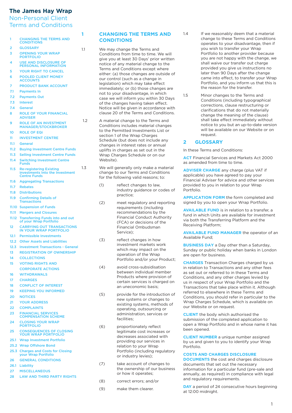## **The James Hay Wrap**

# Non-Personal Client Terms and Conditions

| 1     | <b>CHANGING THE TERMS AND</b><br><b>CONDITIONS</b>                                       |     |
|-------|------------------------------------------------------------------------------------------|-----|
| 2     | <b>GLOSSARY</b>                                                                          | 1.1 |
| 3     | <b>OPENING YOUR WRAP</b><br><b>PORTFOLIO</b>                                             |     |
| 4     | <b>USE AND DISCLOSURE OF</b><br>PERSONAL INFORMATION                                     |     |
| 5     | <b>YOUR RIGHT TO CANCEL</b>                                                              |     |
| 6     | <b>POOLED CLIENT MONEY</b><br><b>ACCOUNTS</b>                                            |     |
| 7     | <b>PRODUCT BANK ACCOUNT</b>                                                              |     |
| 7.1   | <b>Payments In</b>                                                                       |     |
| 7.2   | <b>Payments Out</b>                                                                      |     |
| 7.3   | <b>Interest</b>                                                                          |     |
| 7.4   | <b>General</b>                                                                           |     |
| 8     | <b>ROLE OF YOUR FINANCIAL</b><br><b>ADVISER</b>                                          |     |
| 9     | <b>ROLE OF AN INVESTMENT</b><br><b>MANAGER/STOCKBROKER</b>                               | 1.2 |
| 10    | <b>ROLE OF EQI</b>                                                                       |     |
|       | <b>INVESTMENT CENTRE</b>                                                                 |     |
| 11    |                                                                                          |     |
| 11.1  | <b>General</b>                                                                           |     |
| 11.2  | <b>Buving Investment Centre Funds</b>                                                    |     |
| 11.3  | <b>Selling Investment Centre Funds</b>                                                   |     |
| 11.4  | <b>Switching Investment Centre</b><br><b>Funds</b>                                       |     |
| 11.5  | <b>Re-registering Existing</b><br>investments Into the Investment<br><b>Centre Funds</b> | 1.3 |
| 11.6  | <b>Aggregating Transactions</b>                                                          |     |
| 11.7  | <b>Rebates</b>                                                                           |     |
| 11.8  | <b>Distributions</b>                                                                     |     |
| 11.9  | <b>Confirming Details of</b><br><b>Transactions</b>                                      |     |
| 11.10 | <b>Suspension of Funds</b>                                                               |     |
| 11.11 | <b>Mergers and Closures</b>                                                              |     |
| 11.12 | <b>Transferring Funds into and out</b><br>of your Wrap Portfolio                         |     |
| 12    | <b>CARRYING OUT TRANSACTIONS</b><br><b>IN YOUR WRAP PORTFOLIO</b>                        |     |
| 12.1  | <b>Permissible Investments</b>                                                           |     |
| 12.2  | <b>Other Assets and Liabilities</b>                                                      |     |
| 12.3  | <b>Investment Transactions - General</b>                                                 |     |
| $13-$ | <b>REGISTRATION OF OWNERSHIP</b>                                                         |     |
| 14    | <b>COLLECTIONS</b>                                                                       |     |
| 15    | <b>VOTING RIGHTS AND</b>                                                                 |     |
|       | <b>CORPORATE ACTIONS</b>                                                                 |     |
| 16    | <b>WITHDRAWALS</b>                                                                       |     |
| 17    | <b>CHARGES</b>                                                                           |     |
| 18    | <b>CONFLICT OF INTEREST</b>                                                              |     |
| 19    | <b>KEEPING YOU INFORMED</b>                                                              |     |
| 20    | <b>NOTICES</b>                                                                           |     |
| 21    | <b>YOUR ADDRESS</b>                                                                      |     |
| 22    | <b>COMPLAINTS</b>                                                                        |     |
| 23    | <b>FINANCIAL SERVICES</b><br><b>COMPENSATION SCHEME</b>                                  |     |
| 24    | <b>CLOSING YOUR WRAP</b><br><b>PORTFOLIO</b>                                             |     |
| 25    | <b>CONSEQUENCES OF CLOSING</b><br><b>YOUR WRAP PORTFOLIO</b>                             |     |
| 25.1  | <b>Wrap Investment Portfolio</b>                                                         |     |
| 25.2  | <b>Wrap Offshore Bond</b>                                                                |     |
| 25.3  | <b>Charges and Costs for Closing</b><br>your Wrap Portfolio                              |     |
| 26    | <b>GENERAL CONDITIONS</b>                                                                |     |
| 26.1  | Liability                                                                                |     |
| 27    | <b>MISCELLANEOUS</b>                                                                     |     |
| 28    | <b>LAW AND THIRD PARTY RIGHTS</b>                                                        |     |
|       |                                                                                          |     |

#### **CHANGING THE TERMS AND CONDITIONS**

- We may change the Terms and Conditions from time to time. We will give you at least 30 Days' prior written notice of any material change to the Terms and Conditions except where either: (a) those changes are outside of our control (such as a change in legislation) which may take effect immediately; or (b) those changes are not to your disadvantage, in which case we will inform you within 30 Days of the changes having taken effect. Notice will be given in accordance with clause 20 of the Terms and Conditions.
- A material change to the Terms and Conditions includes material changes to the Permitted Investments List or section 1 of the Wrap Charges Schedule (but does not include any changes in interest rates or annual uplifts in charges as set out in the Wrap Charges Schedule or on our Website).
- We will generally only make a material change to our Terms and Conditions for the following valid reasons; to:
	- (1) reflect changes to law, industry guidance or codes of practice;
	- (2) meet regulatory and reporting requirements (including recommendations by the Financial Conduct Authority (FCA) or decisions of the Financial Ombudsman Service);
	- (3) reflect changes in how investment markets work which may impact on the operation of the Wrap Portfolio and/or your Product;
	- (4) avoid cross-subsidisation between individual member Products where provision of certain services is charged on an uneconomic basis;
	- (5) provide for the introduction of new systems or changes to existing systems, methods of operating, outsourcing or administration, services or facilities;
	- (6) proportionately reflect legitimate cost increases or decreases associated with providing our services in relation to your Wrap Portfolio (including regulatory or industry levies);
	- (7) take account of changes to the ownership of our business or how it operates;
	- (8) correct errors; and/or
	- (9) make them clearer.
- 1.4 If we reasonably deem that a material change to these Terms and Conditions operates to your disadvantage, then if you wish to transfer your Wrap Portfolio to another provider because you are not happy with the change, we shall waive our transfer out charge provided you give us instructions no later than 90 Days after the change came into effect, to transfer your Wrap Portfolio, and you inform us that this is the reason for the transfer.
- 1.5 Minor changes to the Terms and Conditions (including typographical corrections, clause restructuring or clarifications that do not materially change the meaning of the clause) shall take effect immediately without notice to you but an up-to-date version will be available on our Website or on request.

#### **2 GLOSSARY**

In these Terms and Conditions:

**ACT** Financial Services and Markets Act 2000 as amended from time to time.

**ADVISER CHARGE** any charge (plus VAT if applicable) you have agreed to pay your Financial Adviser for advice and other services provided to you in relation to your Wrap Portfolio.

**APPLICATION FORM** the form completed and signed by you to open your Wrap Portfolio.

**AVAILABLE FUND** is in relation to a transfer, a fund in which Units are available for investment via both the Transferring Platform and the Receiving Platform;

**AVAILABLE FUND MANAGER** the operator of an Available Fund;

**BUSINESS DAY** a Day other than a Saturday. Sunday or public holiday when banks in London are open for business.

**CHARGES** Transaction Charges charged by us in relation to Transactions and any other fees as set out or referred to in these Terms and Conditions, and any other charges levied by us in respect of your Wrap Portfolio and the Transactions that take place within it. Although referred to elsewhere in these Terms and Conditions, you should refer in particular to the Wrap Charges Schedule, which is available on our Website or on request.

**CLIENT** the body which authorised the submission of the completed application to open a Wrap Portfolio and in whose name it has been opened.

**CLIENT NUMBER** a unique number assigned by us and given to you to identify your Wrap Portfolio.

## **COSTS AND CHARGES DISCLOSURE**

**DOCUMENTS** the cost and charges disclosure documents that set out the necessary information for a particular fund (pre-sale and annually, as required) in compliance with legal and regulatory requirements.

**DAY** a period of 24 consecutive hours beginning at 12:00 midnight.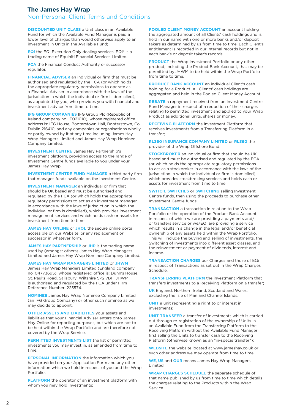# **The James Hay Wrap**

Non-Personal Client Terms and Conditions

**DISCOUNTED UNIT CLASS** a Unit class in an Available Fund for which the Available Fund Manager is paid a lower level of charges than would otherwise apply to an investment in Units in the Available Fund;

**EQi** the EQi Execution Only dealing services. EQi® is a trading name of Equiniti Financial Services Limited.

**FCA** the Financial Conduct Authority or successor regulator.

**FINANCIAL ADVISER** an individual or firm that must be authorised and regulated by the FCA (or which holds the appropriate regulatory permissions to operate as a Financial Adviser in accordance with the laws of the jurisdiction in which the individual or firm is domiciled), as appointed by you, who provides you with financial and investment advice from time to time.

**IFG GROUP COMPANIES** IFG Group Plc (Republic of Ireland company no. IE021010), whose registered office address is: IFG House, Booterstown Hall, Booterstown, Co. Dublin 216410, and any companies or organisations wholly or partly owned by it at any time including James Hay Wrap Managers Limited and James Hay Wrap Nominee Company Limited.

**INVESTMENT CENTRE** James Hay Partnership's investment platform, providing access to the range of Investment Centre funds available to you under your James Hay Wrap.

**INVESTMENT CENTRE FUND MANAGER** a third party firm that manages funds available on the Investment Centre.

**INVESTMENT MANAGER** an individual or firm that should be UK based and must be authorised and regulated by the FCA (or which holds the appropriate regulatory permissions to act as an investment manager in accordance with the laws of jurisdiction in which the individual or firm is domiciled), which provides investment management services and which holds cash or assets for investment from time to time.

**JAMES HAY ONLINE** or **JHOL** the secure online portal accessible on our Website, or any replacement or successor in whatever form.

**JAMES HAY PARTNERSHIP** or **JHP** is the trading name used by (amongst others) James Hay Wrap Managers Limited and James Hay Wrap Nominee Company Limited.

**JAMES HAY WRAP MANAGERS LIMITED** or **JHWM** 

James Hay Wrap Managers Limited (England company no. 04773695), whose registered office is: Dunn's House, St. Paul's Road, Salisbury, Wiltshire SP2 7BF. JHWM is authorised and regulated by the FCA under Firm Reference Number: 225574.

**NOMINEE** James Hay Wrap Nominee Company Limited (an IFG Group Company) or other such nominee as we may decide to appoint.

**OTHER ASSETS AND LIABILITIES** your assets and liabilities that your Financial Adviser enters onto James Hay Online for reporting purposes, but which are not to be held within the Wrap Portfolio and are therefore not covered by the Wrap Service.

**PERMITTED INVESTMENTS LIST** the list of permitted investments you may invest in, as amended from time to time.

**PERSONAL INFORMATION** the information which you have provided on your Application Form and any other information which we hold in respect of you and the Wrap Portfolio.

**PLATFORM** the operator of an investment platform with whom you may hold Investments;

**POOLED CLIENT MONEY ACCOUNT** an account holding the aggregated amount of all Clients' cash holdings and is held in our name with one or more banks and/or deposit takers as determined by us from time to time. Each Client's entitlement is recorded in our internal records but not in each bank's or deposit taker's records.

**PRODUCT** the Wrap Investment Portfolio or any other product, including the Product Bank Account, that may be permitted by JHWM to be held within the Wrap Portfolio from time to time.

**PRODUCT BANK ACCOUNT** an individual Client's cash holding for a Product. All Clients' cash holdings are aggregated and held in the Pooled Client Money Account.

**REBATE** a repayment received from an Investment Centre Fund Manager in respect of a reduction of their charges relating to permitted investment and applied to your Wrap Product as additional units, shares or money.

**RECEIVING PLATFORM** the investment Platform that receives investments from a Transferring Platform in a transfer;

**RL360 INSURANCE COMPANY LIMITED** or **RL360** the provider of the Wrap Offshore Bond.

**STOCKBROKER** an individual or firm that should be UK based and must be authorised and regulated by the FCA (or which holds the appropriate regulatory permissions to act as a stockbroker in accordance with the laws of the jurisdiction in which the individual or firm is domiciled). which provides stockbroking services and holds cash or assets for investment from time to time.

**SWITCH**, **SWITCHES** or **SWITCHING** selling Investment Centre funds, then using the proceeds to purchase other Investment Centre funds.

**TRANSACTION** a transaction in relation to the Wrap Portfolio or the operation of the Product Bank Account, in respect of which we are providing a payments and/ or transfers service or we/EQi are providing a service which results in a change in the legal and/or beneficial ownership of any assets held within the Wrap Portfolio. This will include the buying and selling of investments, the Switching of investments into different asset classes, and the reinvestment or payment of dividends, interest and income.

**TRANSACTION CHARGES** our Charges and those of EQi in respect of Transactions as set out in the Wrap Charges Schedule.

**TRANSFERRING PLATFORM** the investment Platform that transfers investments to a Receiving Platform on a transfer;

**UK** England, Northern Ireland, Scotland and Wales, excluding the Isle of Man and Channel Islands.

**UNIT** a unit representing a right to or interest in investments;

**UNIT TRANSFER** a transfer of investments which is carried out through re-registration of the ownership of Units in an Available Fund from the Transferring Platform to the Receiving Platform without the Available Fund Manager first selling the Units to transfer cash to the Receiving Platform (otherwise known as an "in-specie transfer");

**WEBSITE** the website located at www.jameshay.co.uk or such other address we may operate from time to time.

**WE**, **US** and **OUR** means James Hay Wrap Managers Limited.

**WRAP CHARGES SCHEDULE** the separate schedule of that name published by us from time to time which details the charges relating to the Products within the Wrap Service.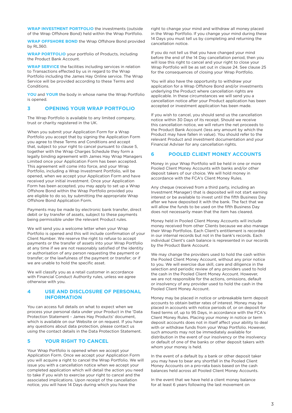**WRAP INVESTMENT PORTFOLIO** the investments (outside of the Wrap Offshore Bond) held within the Wrap Portfolio.

**WRAP OFFSHORE BOND** the Wrap Offshore Bond provided by RL360.

**WRAP PORTFOLIO** your portfolio of Products, including the Product Bank Account.

**WRAP SERVICE** the facilities including services in relation to Transactions effected by us in regard to the Wrap Portfolio including the James Hay Online service. The Wrap Service will be provided according to these Terms and Conditions.

**YOU** and **YOUR** the body in whose name the Wrap Portfolio is opened.

## **3 OPENING YOUR WRAP PORTFOLIO**

The Wrap Portfolio is available to any limited company, trust or charity registered in the UK.

When you submit your Application Form for a Wrap Portfolio you accept that by signing the Application Form you agree to these Terms and Conditions and accept that, subject to your right to cancel pursuant to clause 5, together with the Wrap Charges Schedule they form a legally binding agreement with James Hay Wrap Managers Limited once your Application Form has been accepted. This agreement will come into force, and your Wrap Portfolio, including a Wrap Investment Portfolio, will be opened, when we accept your Application Form and have received your initial investment. Once your Application Form has been accepted, you may apply to set up a Wrap Offshore Bond within the Wrap Portfolio provided you are eligible to do so, by submitting the appropriate Wrap Offshore Bond Application Form.

Payments may be made by electronic bank transfer, direct debit or by transfer of assets, subject to these payments being permissible under the relevant Product rules.

We will send you a welcome letter when your Wrap Portfolio is opened and this will include confirmation of your Client Number. We reserve the right to refuse to accept payments or the transfer of assets into your Wrap Portfolio at any time if we are not reasonably satisfied of the identity or authorisation of any person requesting the payment or transfer; or the lawfulness of the payment or transfer; or if we are unable to hold the specific asset.

We will classify you as a retail customer in accordance with Financial Conduct Authority rules, unless we agree otherwise with you.

## **USE AND DISCLOSURE OF PERSONAL INFORMATION**

You can access full details on what to expect when we process your personal data under your Product in the 'Data Protection Statement - James Hay Products' document, which is available on our Website or on request. If you have any questions about data protection, please contact us using the contact details in the Data Protection Statement.

## **5 YOUR RIGHT TO CANCEL**

Your Wrap Portfolio is opened when we accept your Application Form. Once we accept your Application Form you will acquire a right to cancel the Wrap Portfolio. We will issue you with a cancellation notice when we accept your completed application which will detail the action you need to take if you wish to exercise your right to cancel and the associated implications. Upon receipt of the cancellation notice, you will have 14 Days during which you have the

right to change your mind and withdraw all money placed in the Wrap Portfolio. If you change your mind during these 14 Days you must tell us by completing and returning the cancellation notice.

If you do not tell us that you have changed your mind before the end of the 14 Day cancellation period, then you will lose this right to cancel and your right to close your Wrap Portfolio will be as set out in clause 24. See clause 25 for the consequences of closing your Wrap Portfolio.

You will also have the opportunity to withdraw your application for a Wrap Offshore Bond and/or investments underlying the Product where cancellation rights are applicable. In these circumstances we will send you a cancellation notice after your Product application has been accepted or investment application has been made.

If you wish to cancel, you should send us the cancellation notice within 30 Days of its receipt. Should we receive this cancellation notice, we will return the net proceeds to the Product Bank Account (less any amount by which the Product may have fallen in value). You should refer to the relevant Product and investment documentation and your Financial Adviser for any cancellation rights.

## **6 POOLED CLIENT MONEY ACCOUNTS**

Money in your Wrap Portfolio will be held in one or more Pooled Client Money Accounts with banks and/or other deposit takers of our choice. We will hold money in accordance with the FCA's Client Money Rules.

Any cheque (received from a third party, including an Investment Manager) that is deposited will not start earning interest or be available to invest until the fifth Business Day after we have deposited it with the bank. The fact that we will allow the funds to be used on the fifth Business Day does not necessarily mean that the item has cleared.

Money held in Pooled Client Money Accounts will include money received from other Clients because we also manage their Wrap Portfolios. Each Client's entitlement is recorded in our internal records but not in the bank's records. Each individual Client's cash balance is represented in our records by the Product Bank Account.

We may change the providers used to hold the cash within the Pooled Client Money Account, without any prior notice to you. We will exercise due skill, care and diligence in the selection and periodic review of any providers used to hold the cash in the Pooled Client Money Account. However, we are not responsible for the actions, omissions, default or insolvency of any provider used to hold the cash in the Pooled Client Money Account.

Money may be placed in notice or unbreakable term deposit accounts to obtain better rates of interest. Money may be placed in accounts with notice periods of, or on deposit for fixed terms of, up to 95 Days, in accordance with the FCA's Client Money Rules. Placing your money in notice or term deposit accounts does not in itself affect your ability to deal with or withdraw funds from your Wrap Portfolio. However, such amounts may not be immediately available for distribution in the event of our insolvency or the insolvency or default of one of the banks or other deposit takers with whom your money is held.

In the event of a default by a bank or other deposit taker you may have to bear any shortfall in the Pooled Client Money Accounts on a pro-rata basis based on the cash balances held across all Pooled Client Money Accounts.

In the event that we have held a client money balance for at least 6 years following the last movement on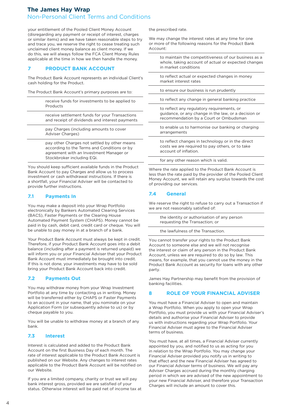your entitlement of the Pooled Client Money Account (disregarding any payment or receipt of interest, charges or similar items) and we have taken reasonable steps to try and trace you, we reserve the right to cease treating such unclaimed client money balance as client money. If we do this, we will always follow the FCA Client Money Rules applicable at the time in how we then handle the money.

## **7 PRODUCT BANK ACCOUNT**

The Product Bank Account represents an individual Client's cash holding for the Product.

The Product Bank Account's primary purposes are to:

|--|

receive settlement funds for your Transactions and receipt of dividends and interest payments

pay Charges (including amounts to cover Adviser Charges)

pay other Charges not settled by other means according to the Terms and Conditions or by agreement with an Investment Manager or Stockbroker including EQi.

You should keep sufficient available funds in the Product Bank Account to pay Charges and allow us to process investment or cash withdrawal instructions. If there is a shortfall, your Financial Adviser will be contacted to provide further instructions.

## **7.1 Payments In**

You may make a deposit into your Wrap Portfolio electronically by Bankers Automated Clearing Services (BACS), Faster Payments or the Clearing House Automated Payment System (CHAPS). Money cannot be paid in by cash, debit card, credit card or cheque. You will be unable to pay money in at a branch of a bank.

Your Product Bank Account must always be kept in credit. Therefore, if your Product Bank Account goes into a debit balance (including after a payment is returned unpaid) we will inform you or your Financial Adviser that your Product Bank Account must immediately be brought into credit. If this is not done, your investments may have to be sold bring your Product Bank Account back into credit.

## **7.2 Payments Out**

You may withdraw money from your Wrap Investment Portfolio at any time by contacting us in writing. Money will be transferred either by CHAPS or Faster Payments to an account in your name, that you nominate on your Application Form (or subsequently advise to us) or by cheque payable to you.

You will be unable to withdraw money at a branch of any bank.

# **7.3 Interest**

Interest is calculated and added to the Product Bank Account on the first Business Day of each month. The rate of interest applicable to the Product Bank Account is published on our Website. Any changes to interest rates applicable to the Product Bank Account will be notified on our Website.

If you are a limited company, charity or trust we will pay bank interest gross, provided we are satisfied of your status. Otherwise interest will be paid net of income tax at the prescribed rate.

We may change the interest rates at any time for one or more of the following reasons for the Product Bank Account:

to maintain the competitiveness of our business as a whole, taking account of actual or expected changes in market conditions

to reflect actual or expected changes in money market interest rates

to ensure our business is run prudently

to reflect any change in general banking practice

to reflect any regulatory requirements, or guidance, or any change in the law, or a decision or recommendation by a Court or Ombudsman

to enable us to harmonise our banking or charging arrangements

to reflect changes in technology or in the direct costs we are required to pay others, or to take account of inflation.

for any other reason which is valid.

Where the rate applied to the Product Bank Account is less than the rate paid by the provider of the Pooled Client Money Account, we will retain any surplus towards the cost of providing our services.

# **7.4 General**

We reserve the right to refuse to carry out a Transaction if we are not reasonably satisfied of:

the identity or authorisation of any person requesting the Transaction; or

the lawfulness of the Transaction.

You cannot transfer your rights to the Product Bank Account to someone else and we will not recognise the interest or claim of any person in the Product Bank Account, unless we are required to do so by law. This means, for example, that you cannot use the money in the Product Bank Account as security for loans with any other party.

James Hay Partnership may benefit from the provision of banking facilities.

## **8 ROLE OF YOUR FINANCIAL ADVISER**

You must have a Financial Adviser to open and maintain a Wrap Portfolio. When you apply to open your Wrap Portfolio, you must provide us with your Financial Adviser's details and authorise your Financial Adviser to provide us with instructions regarding your Wrap Portfolio. Your Financial Adviser must agree to the Financial Adviser terms of business.

You must have, at all times, a Financial Adviser currently appointed by you, and notified to us as acting for you in relation to the Wrap Portfolio. You may change your Financial Adviser provided you notify us in writing to that effect and the new Financial Adviser has agreed to our Financial Adviser terms of business. We will pay any Adviser Charges accrued during the monthly charging period in which we are advised of the new appointment to your new Financial Adviser, and therefore your Transaction Charges will include an amount to cover this.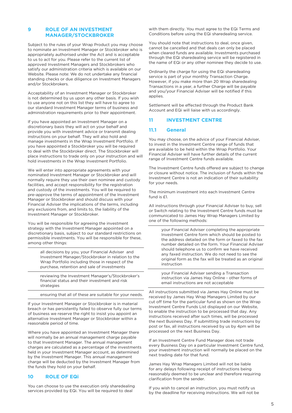## **9 ROLE OF AN INVESTMENT MANAGER/STOCKBROKER**

Subject to the rules of your Wrap Product you may choose to nominate an Investment Manager or Stockbroker who is appropriately authorised under the Act and is acceptable to us to act for you. Please refer to the current list of approved Investment Managers and Stockbrokers who satisfy our administration criteria which is available on our Website. Please note: We do not undertake any financial standing checks or due diligence on Investment Managers and/or Stockbrokers.

Acceptability of an Investment Manager or Stockbroker is not determined by us upon any other basis. If you wish to use anyone not on this list they will have to agree to our standard Investment Manager terms of business and administration requirements prior to their appointment.

If you have appointed an Investment Manager on a discretionary basis they will act on your behalf and provide you with investment advice or transmit dealing instructions on your behalf. They will also hold and manage investments in the Wrap Investment Portfolio. If you have appointed a Stockbroker you will be required to deal with the Stockbroker direct. The Stockbroker will place instructions to trade only on your instruction and will hold investments in the Wrap Investment Portfolio.

We will enter into appropriate agreements with your nominated Investment Manager or Stockbroker and will normally require they use their own nominee and custody facilities, and accept responsibility for the registration and custody of the investments. You will be required to pre-approve the terms of appointment of the Investment Manager or Stockbroker and should discuss with your Financial Adviser the implications of the terms, including any exclusions from, and limits to, the liability of the Investment Manager or Stockbroker.

You will be responsible for agreeing the investment strategy with the Investment Manager appointed on a discretionary basis, subject to our standard restrictions on permissible investments. You will be responsible for these, among other things:

> all decisions by you, your Financial Adviser and Investment Manager/Stockbroker in relation to the Wrap Portfolio including those in respect of the purchase, retention and sale of investments

> reviewing the Investment Manager's/Stockbroker's financial status and their investment and risk strategies

ensuring that all of these are suitable for your needs.

If your Investment Manager or Stockbroker is in material breach or has persistently failed to observe fully our terms of business we reserve the right to insist you appoint an alternative Investment Manager or Stockbroker within a reasonable period of time.

Where you have appointed an Investment Manager there will normally be an annual management charge payable to that Investment Manager. The annual management charges are calculated as a percentage of the investments held in your Investment Manager account, as determined by the Investment Manager. This annual management charge will be deducted by the Investment Manager from the funds they hold on your behalf.

#### **10 ROLE OF EQi**

You can choose to use the execution only sharedealing services provided by EQi. You will be required to deal

with them directly. You must agree to the EQi Terms and Conditions before using the EQi sharedealing service.

You should note that instructions to deal, once given, cannot be cancelled and that deals can only be placed when cleared funds are available. Investments purchased through the EQi sharedealing service will be registered in the name of EQi or any other nominee they decide to use.

Ordinarily the charge for using the EQi sharedealing service is part of your monthly Transaction Charge. However, if you make more than 20 Wrap sharedealing Transactions in a year, a further Charge will be payable and you/your Financial Adviser will be notified if this applies.

Settlement will be effected through the Product Bank Account and EQi will liaise with us accordingly.

## **11 INVESTMENT CENTRE**

#### **11.1 General**

You may choose, on the advice of your Financial Adviser, to invest in the Investment Centre range of funds that are available to be held within the Wrap Portfolio. Your Financial Adviser will have further details of the current range of Investment Centre funds available.

The Investment Centre funds offered are subject to change or closure without notice. The inclusion of funds within the Investment Centre is not an indication of their suitability for your needs.

The minimum investment into each Investment Centre fund is £1.

All instructions through your Financial Adviser to buy, sell or Switch relating to the Investment Centre funds must be communicated to James Hay Wrap Managers Limited by one of the following methods:

your Financial Adviser completing the appropriate Investment Centre form which should be posted to the address detailed on the form or faxed to the fax number detailed on the form. Your Financial Adviser should telephone us to confirm we have received any faxed instruction. We do not need to see the original form as the fax will be treated as an original instruction

your Financial Adviser sending a Transaction instruction via James Hay Online - other forms of email instructions are not acceptable

All instructions submitted via James Hay Online must be received by James Hay Wrap Managers Limited by our cut off time for the particular fund as shown on the Wrap Investment Centre Funds List displayed on our Website, to enable the instruction to be processed that day. Any instructions received after such times, will be processed the next Business Day. If submitting trade instructions by post or fax, all instructions received by us by 4pm will be processed on the next Business Day.

If an Investment Centre Fund Manager does not trade every Business Day on a particular Investment Centre fund, your investment instruction will normally be placed on the next trading date for that fund.

James Hay Wrap Managers Limited will not be liable for any delays following receipt of instructions being reasonably deemed to be unclear and therefore requiring clarification from the sender.

If you wish to cancel an instruction, you must notify us by the deadline for receiving instructions. We will not be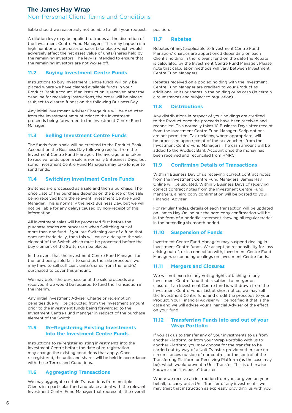liable should we reasonably not be able to fulfil your request.

A dilution levy may be applied to trades at the discretion of the Investment Centre Fund Managers. This may happen if a high number of purchases or sales take place which would adversely affect the net asset value of units/shares held by the remaining investors. The levy is intended to ensure that the remaining investors are not worse off.

#### **11.2 Buying Investment Centre Funds**

Instructions to buy Investment Centre funds will only be placed where we have cleared available funds in your Product Bank Account. If an instruction is received after the deadline for receiving instructions, the order will be placed (subject to cleared funds) on the following Business Day.

Any initial investment Adviser Charge due will be deducted from the investment amount prior to the investment proceeds being forwarded to the Investment Centre Fund Manager.

## **11.3 Selling Investment Centre Funds**

The funds from a sale will be credited to the Product Bank Account on the Business Day following receipt from the Investment Centre Fund Manager. The average time taken to receive funds upon a sale is normally 5 Business Days, but some Investment Centre Fund Managers may take longer to send funds.

## **11.4 Switching Investment Centre Funds**

Switches are processed as a sale and then a purchase. The price date of the purchase depends on the price of the sale being received from the relevant Investment Centre Fund Manager. This is normally the next Business Day, but we will not be liable for any delays caused by non-receipt of this information.

All investment sales will be processed first before the purchase trades are processed when Switching out of more than one fund. If you are Switching out of a fund that does not trade daily, then this will cause a delay to the sale element of the Switch which must be processed before the buy element of the Switch can be placed.

In the event that the Investment Centre Fund Manager for the fund being sold fails to send us the sale proceeds, we may have to sell sufficient units/shares from the fund(s) purchased to cover this amount.

We may defer the purchase until the sale proceeds are received if we would be required to fund the Transaction in the interim.

Any initial investment Adviser Charge or redemption penalties due will be deducted from the investment amount prior to the investment funds being forwarded to the Investment Centre Fund Manager in respect of the purchase element of the Switch.

#### **11.5 Re-Registering Existing Investments Into the Investment Centre Funds**

Instructions to re-register existing investments into the Investment Centre before the date of re-registration may change the existing conditions that apply. Once re-registered, the units and shares will be held in accordance with these Terms and Conditions.

#### **11.6 Aggregating Transactions**

We may aggregate certain Transactions from multiple Clients in a particular fund and place a deal with the relevant Investment Centre Fund Manager that represents the overall

position.

#### **11.7 Rebates**

Rebates (if any) applicable to Investment Centre Fund Managers' charges are apportioned depending on each Client's holding in the relevant fund on the date the Rebate is calculated by the Investment Centre Fund Manager. Please note that calculation methods will vary between Investment Centre Fund Managers.

Rebates received on a pooled holding with the Investment Centre Fund Manager are credited to your Product as additional units or shares in the holding or as cash (in certain circumstances and subject to regulation).

#### **11.8 Distributions**

Any distributions in respect of your holdings are credited to the Product once the proceeds have been received and reconciled. This normally takes 10 Business Days after receipt from the Investment Centre Fund Manager. Scrip options are not permitted. Tax reclaims, where appropriate, will be processed upon receipt of the tax vouchers from the Investment Centre Fund Managers. The cash amount will be added to the Product Bank Account once the money has been received and reconciled from HMRC.

#### **11.9 Confirming Details of Transactions**

Within 1 Business Day of us receiving correct contract notes from the Investment Centre Fund Managers, James Hay Online will be updated. Within 5 Business Days of receiving correct contract notes from the Investment Centre Fund Managers, a hard copy confirmation will be posted to your Financial Adviser.

For regular trades, details of each transaction will be updated on James Hay Online but the hard copy confirmation will be in the form of a periodic statement showing all regular trades in the preceding six month period.

#### **11.10 Suspension of Funds**

Investment Centre Fund Managers may suspend dealing in Investment Centre funds. We accept no responsibility for loss arising out of, or in connection with, Investment Centre Fund Managers suspending dealings on Investment Centre funds.

## **11.11 Mergers and Closures**

We will not exercise any voting rights attaching to any Investment Centre fund that is subject to merger or closure. If an Investment Centre fund is withdrawn from the Investment Centre Funds List at short notice, we may sell the Investment Centre fund and credit the proceeds to your Product. Your Financial Adviser will be notified if that is the case and we will advise your Financial Adviser of the effect on your fund.

#### **11.12 Transferring Funds into and out of your Wrap Portfolio**

If you ask us to transfer any of your investments to us from another Platform, or from your Wrap Portfolio with us to another Platform, you may choose for the transfer to be carried out by way of a Unit Transfer, provided there are no circumstances outside of our control, or the control of the Transferring Platform or Receiving Platform (as the case may be), which would prevent a Unit Transfer. This is otherwise known as an "in-specie" transfer.

Where we receive an instruction from you, or given on your behalf, to carry out a Unit Transfer of any investments, we may treat that instruction as expressly providing us with your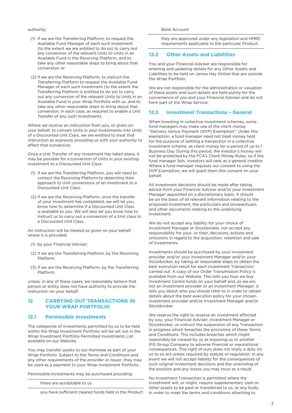#### authority:

(1) if we are the Transferring Platform, to request the Available Fund Manager of each such investment (to the extent we are entitled to do so) to carry out any conversion of the relevant Units to Units in an Available Fund in the Receiving Platform, and to take any other reasonable steps to bring about that conversion; or

(2) if we are the Receiving Platform, to instruct the Transferring Platform to request the Available Fund Manager of each such investment (to the extent the Transferring Platform is entitled to do so) to carry out any conversion of the relevant Units to Units in an Available Fund in your Wrap Portfolio with us, and to take any other reasonable steps to bring about that conversion, in each case, as required to enable a Unit Transfer of any such Investments.

Where we receive an instruction from you, or given on your behalf, to convert Units in your investments into Units of a Discounted Unit Class, we are entitled to treat that instruction as expressly providing us with your authority to effect that conversion.

Once a Unit Transfer of any investment has taken place, it may be possible for a conversion of Units in your existing investment to a Discounted Unit Class:

- (1) if we are the Transferring Platform, you will need to contact the Receiving Platform to determine their approach to Unit conversions of an investment to a Discounted Unit Class.
- (2) if we are the Receiving Platform, once the transfer of your investment has completed, we will let you know how to determine if a Discounted Unit Class is available to you. We will also let you know how to instruct us to carry out a conversion of a Unit class to a Discounted Unit Class.

An instruction will be treated as given on your behalf where it is provided:

- (1) by your Financial Adviser;
- (2) if we are the Transferring Platform, by the Receiving Platform;
- (3) if we are the Receiving Platform, by the Transferring Platform,

unless, in any of these cases, we reasonably believe that person or entity does not have authority to provide the instruction on your behalf.

## **12 CARRYING OUT TRANSACTIONS IN YOUR WRAP PORTFOLIO**

## **12.1 Permissible Investments**

The categories of investments permitted by us to be held within the Wrap Investment Portfolio will be set out in the Wrap Investment Portfolio Permitted Investments List available on our Website.

You may transfer assets to our Nominee as part of your Wrap Portfolio. Subject to the Terms and Conditions and any other requirements of the provider or issuer, they may be used as a payment to your Wrap Investment Portfolio.

Permissible investments may be purchased providing:

these are acceptable to us

you have sufficient cleared funds held in the Product

they are approved under any legislation and HMRC requirements applicable to the particular Product.

## **12.2 Other Assets and Liabilities**

You and your Financial Adviser are responsible for entering and updating details for any Other Assets and Liabilities to be held on James Hay Online that are outside the Wrap Portfolio.

We are not responsible for the administration or valuation of these assets and such details are held purely for the convenience of you and your Financial Adviser and do not form part of the Wrap Service.

#### **12.3 Investment Transactions - General**

When investing in collective investment schemes, some fund managers may make use of the client money "Delivery Versus Payment (DVP) Exemption". Under this exemption, a fund manager need not treat money held for the purpose of settling a transaction in a collective investment scheme, as client money for a period of up to 1 Business Day. During this period, the investor's money will not be protected by the FCA's Client Money Rules, so if the fund manager fails, investors will rank as a general creditor. Where a fund manager requests our consent to using the DVP Exemption, we will grant them this consent on your behalf.

All investment decisions should be made after taking advice from your Financial Adviser and/or your Investment Manager appointed on a discretionary basis. It should be on the basis of all relevant information relating to the proposed investment, the particulars and prospectuses, and other documents relating to the underlying investment.

We do not accept any liability for your choice of Investment Manager or Stockbroker, nor accept any responsibility for your, or their, decisions, actions and omissions in regard to the acquisition, retention and sale of investments.

Investments should be purchased by your investment provider and/or your Investment Manager and/or your Stockbroker, by taking all reasonable steps to obtain the best execution result for each investment Transaction carried out. A copy of our Order Transmission Policy is available from our Website. This tells you how we buy Investment Centre funds on your behalf and, as we are not an investment provider or an Investment Manager, it tells you about who you should refer to in order to obtain details about the best execution policy for your chosen investment provider and/or Investment Manager and/or Stockbroker.

We reserve the right to reverse an investment effected by you, your Financial Adviser, Investment Manager or Stockbroker, or instruct the suspension of any Transaction in progress which breaches the provisions of these Terms and Conditions. This includes breaches which might reasonably be viewed by us as exposing us or another IFG Group Company to adverse financial or reputational consequences. This right of ours does not imply a duty on us to so act unless required by statute or regulation. In any event we will not accept liability for the consequences of such original investment decisions and the unwinding of the position and any losses you may incur as a result.

No investment Transaction is permitted where the investment will, or might, require supplementary cash or other assets to be paid or transferred to us, or any body, in order to meet the terms and conditions attaching to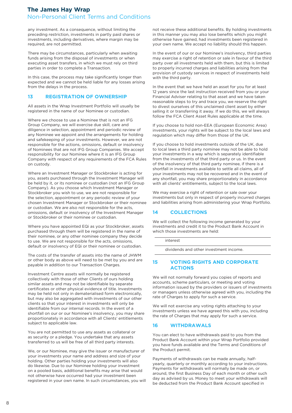any investment. As a consequence, without limiting the preceding restriction, investments in partly paid shares or investments, including derivatives, where margin may be required, are not permitted.

There may be circumstances, particularly when awaiting funds arising from the disposal of investments or when executing asset transfers, in which we must rely on third parties in order to complete a Transaction.

In this case, the process may take significantly longer than expected and we cannot be held liable for any losses arising from the delays in the process.

## **13 REGISTRATION OF OWNERSHIP**

All assets in the Wrap Investment Portfolio will usually be registered in the name of our Nominee or custodian.

Where we choose to use a Nominee that is not an IFG Group Company, we will exercise due skill, care and diligence in selection, appointment and periodic review of any Nominee we appoint and the arrangements for holding and safekeeping of your investments. However, we are not responsible for the actions, omissions, default or insolvency of Nominees that are not IFG Group Companies. We accept responsibility for our Nominee where it is an IFG Group Company with respect of any requirements of the FCA Rules on custody.

Where an Investment Manager or Stockbroker is acting for you, assets purchased through the Investment Manager will be held by it, or its nominee or custodian (not an IFG Group Company). As you choose which Investment Manager or Stockbroker you wish to use, we are not responsible for the selection, appointment or any periodic review of your chosen Investment Manager or Stockbroker or their nominee or custodian. We are also not responsible for the acts, omissions, default or insolvency of the Investment Manager or Stockbroker or their nominee or custodian.

Where you have appointed EQi as your Stockbroker, assets purchased through them will be registered in the name of their nominee, or any other nominee company they decide to use. We are not responsible for the acts, omissions, default or insolvency of EQi or their nominee or custodian.

The costs of the transfer of assets into the name of JHWM or other body as above will need to be met by you and are payable in addition to our Transaction Charges.

Investment Centre assets will normally be registered collectively with those of other Clients of ours holding similar assets and may not be identifiable by separate certificates or other physical evidence of title. Investments may be held not only in dematerialised form electronically, but may also be aggregated with investments of our other clients so that your interest in investments will only be identifiable from our internal records. In the event of a shortfall on our or our Nominee's insolvency, you may share proportionately in accordance with all Clients' entitlements subject to applicable law.

You are not permitted to use any assets as collateral or as security or a pledge. You undertake that any assets transferred to us will be free of all third party interests.

We, or our Nominee, may give the issuer or manufacturer of your investments your name and address and size of your holding. Other parties holding your investments will also do likewise. Due to our Nominee holding your investment on a pooled basis, additional benefits may arise that would not otherwise have occurred had your investment been registered in your own name. In such circumstances, you will not receive these additional benefits. By holding investments in this manner you may also lose benefits which you might otherwise have gained, had investments been registered in your own name. We accept no liability should this happen.

In the event of our or our Nominee's insolvency, third parties may exercise a right of retention or sale in favour of the third party over all investments held with them, but this is limited to properly incurred charges and liabilities arising from the provision of custody services in respect of investments held with the third party.

In the event that we have held an asset for you for at least 12 years since the last instruction received from you or your Financial Adviser relating to that asset and we have taken reasonable steps to try and trace you, we reserve the right to divest ourselves of this unclaimed client asset by either selling it or transferring it away. If we do this, we will always follow the FCA Client Asset Rules applicable at the time.

If you choose to hold non-EEA (European Economic Area) investments, your rights will be subject to the local laws and regulation which may differ from those of the UK.

If you choose to hold investments outside of the UK, due to local laws a third party nominee may not be able to hold your investments in a way which is separately identifiable from the investments of that third party or us. In the event of the insolvency of that third party nominee, if there is a shortfall in investments available to settle all claims, all of your investments may not be recovered and in the event of any shortfall, you may share proportionately in accordance with all clients' entitlements, subject to the local laws.

We may exercise a right of retention or sale over your investments but only in respect of properly incurred charges and liabilities arising from administering your Wrap Portfolio.

## **14 COLLECTIONS**

We will collect the following income generated by your investments and credit it to the Product Bank Account in which those investments are held:

interest

dividends and other investment income.

## **15 VOTING RIGHTS AND CORPORATE ACTIONS**

We will not normally forward you copies of reports and accounts, scheme particulars, or meeting and voting information issued by the providers or issuers of investments or managers unless otherwise agreed with you, including the rate of Charges to apply for such a service.

We will not exercise any voting rights attaching to your investments unless we have agreed this with you, including the rate of Charges that may apply for such a service.

# **16 WITHDRAWALS**

You can elect to have withdrawals paid to you from the Product Bank Account within your Wrap Portfolio provided you have funds available and the Terms and Conditions of the Product permit.

Payments of withdrawals can be made annually, halfyearly, quarterly or monthly according to your instructions. Payments for withdrawals will normally be made on, or around, the first Business Day of each month or other such day as advised by us. Money to meet your withdrawals will be deducted from the Product Bank Account specified in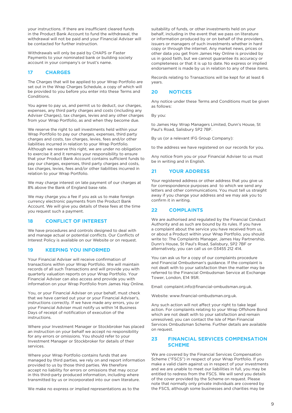your instructions. If there are insufficient cleared funds in the Product Bank Account to fund the withdrawal, the withdrawal will not be paid and your Financial Adviser will be contacted for further instruction.

Withdrawals will only be paid by CHAPS or Faster Payments to your nominated bank or building society account in your company's or trust's name.

#### **17 CHARGES**

The Charges that will be applied to your Wrap Portfolio are set out in the Wrap Charges Schedule, a copy of which will be provided to you before you enter into these Terms and **Conditions** 

You agree to pay us, and permit us to deduct, our charges, expenses, any third party charges and costs (including any Adviser Charges), tax charges, levies and any other charges from your Wrap Portfolio, as and when they become due.

We reserve the right to sell investments held within your Wrap Portfolio to pay our charges, expenses, third party charges and costs, tax charges, levies, fees and/or other liabilities incurred in relation to your Wrap Portfolio. Although we reserve this right, we are under no obligation to exercise it and it remains your responsibility to ensure that your Product Bank Account contains sufficient funds to pay our charges, expenses, third party charges and costs, tax charges, levies, fees and/or other liabilities incurred in relation to your Wrap Portfolio.

We may charge interest on late payment of our charges at 8% above the Bank of England base rate.

We may charge you a fee if you ask us to make foreign currency electronic payments from the Product Bank Account. We will give you details of these fees at the time you request such a payment.

#### **18 CONFLICT OF INTEREST**

We have procedures and controls designed to deal with and manage actual or potential conflicts. Our Conflicts of Interest Policy is available on our Website or on request.

#### **19 KEEPING YOU INFORMED**

Your Financial Adviser will receive confirmation of transactions within your Wrap Portfolio. We will maintain records of all such Transactions and will provide you with quarterly valuation reports on your Wrap Portfolio. Your Financial Adviser can also access and provide you with information on your Wrap Portfolio from James Hay Online.

You, or your Financial Adviser on your behalf, must check that we have carried out your or your Financial Adviser's, instructions correctly. If we have made any errors, you or your Financial Adviser must notify us within 14 Business Days of receipt of notification of execution of the instructions.

Where your Investment Manager or Stockbroker has placed an instruction on your behalf we accept no responsibility for any errors or omissions. You should refer to your Investment Manager or Stockbroker for details of their services.

Where your Wrap Portfolio contains funds that are managed by third parties, we rely on and report information provided to us by those third parties. We therefore accept no liability for errors or omissions that may occur in this third-party produced information, including where transmitted by us or incorporated into our own literature.

We make no express or implied representations as to the

suitability of funds, or other investments held on your behalf, including in the event that we pass on literature or information produced by or on behalf of the providers, issuers or managers of such investments whether in hard copy or through the internet. Any market news, prices or other data you get from James Hay Online is provided by us in good faith, but we cannot guarantee its accuracy or completeness or that it is up to date. No express or implied endorsement is made by us in relation to any of these items.

Records relating to Transactions will be kept for at least 6 years.

#### **20 NOTICES**

Any notice under these Terms and Conditions must be given as follows:

By you:

to James Hay Wrap Managers Limited, Dunn's House, St Paul's Road, Salisbury SP2 7BF.

By us (or a relevant IFG Group Company):

to the address we have registered on our records for you.

Any notice from you or your Financial Adviser to us must be in writing and in English.

#### **21 YOUR ADDRESS**

Your registered address or other address that you give us for correspondence purposes and to which we send any letters and other communications. You must tell us straight away if you change your address and we may ask you to confirm it in writing.

## **22 COMPLAINTS**

We are authorised and regulated by the Financial Conduct Authority and as such are bound by its rules. If you have a complaint about the service you have received from us, or about a Product within your Wrap Portfolio, you should write to: The Complaints Manager, James Hay Partnership, Dunn's House, St Paul's Road, Salisbury, SP2 7BF or alternatively, you can call us on 03455 212 414.

You can ask us for a copy of our complaints procedure and Financial Ombudsman's guidance. If the complaint is not dealt with to your satisfaction then the matter may be referred to the Financial Ombudsman Service at Exchange Tower, London, E14 9SR.

Email: complaint.info@financial-ombudsman.org.uk.

Website: www.financial-ombudsman.org.uk.

Any such action will not affect your right to take legal action. For complaints relating to your Wrap Offshore Bond which are not dealt with to your satisfaction and remain unresolved, you can contact the Isle of Man Financial Services Ombudsman Scheme. Further details are available on request.

#### **23 FINANCIAL SERVICES COMPENSATION SCHEME**

We are covered by the Financial Services Compensation Scheme ("FSCS") in respect of your Wrap Portfolio. If you make a valid claim against us in respect of your investments and we are unable to meet our liabilities in full, you may be entitled to redress from the FSCS. We will send you details of the cover provided by the Scheme on request. Please note that normally only private individuals are covered by the FSCS, although some businesses and charities may be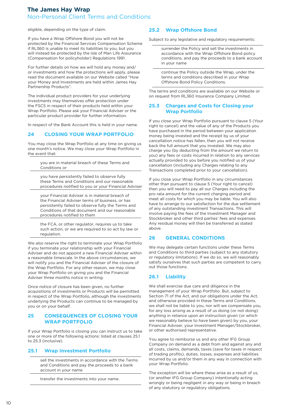eligible, depending on the type of claim.

If you have a Wrap Offshore Bond you will not be protected by the Financial Services Compensation Scheme if RL360 is unable to meet its liabilities to you, but you will instead be protected by the Isle of Man Life Assurance (Compensation for policyholder) Regulations 1991.

For further details on how we will hold any money and/ or investments and how the protections will apply, please read the document available on our Website called "How your Money and Investments are held within James Hay Partnership Products".

The individual product providers for your underlying investments may themselves offer protection under the FSCS in respect of their products held within your Wrap Portfolio. Please ask your Financial Adviser or the particular product provider for further information.

In respect of the Bank Account this is held in your name.

## **24 CLOSING YOUR WRAP PORTFOLIO**

You may close the Wrap Portfolio at any time on giving us one month's notice. We may close your Wrap Portfolio in the event that:

> you are in material breach of these Terms and Conditions or

you have persistently failed to observe fully these Terms and Conditions and our reasonable procedures notified to you or your Financial Adviser

your Financial Adviser is in material breach of the Financial Adviser terms of business, or has persistently failed to observe fully the Terms and Conditions of that document and our reasonable procedures notified to them

the FCA, or other regulator, requires us to take such action, or we are required to so act by law or regulation.

We also reserve the right to terminate your Wrap Portfolio if you terminate your relationship with your Financial Adviser and do not appoint a new Financial Adviser within a reasonable timescale. In the above circumstances, we will notify you and the Financial Adviser of the closure of the Wrap Portfolio. For any other reason, we may close your Wrap Portfolio on giving you and the Financial Adviser three months notice in writing.

Once notice of closure has been given, no further acquisitions of investments or Products will be permitted in respect of the Wrap Portfolio, although the investments underlying the Products can continue to be managed by you or on your behalf.

#### **25 CONSEQUENCES OF CLOSING YOUR WRAP PORTFOLIO**

If your Wrap Portfolio is closing you can instruct us to take one or more of the following actions: listed at clauses 25.1 to 25.3 (inclusive).

#### **25.1 Wrap Investment Portfolio**

sell the investments in accordance with the Terms and Conditions and pay the proceeds to a bank account in your name

transfer the investments into your name.

## **25.2 Wrap Offshore Bond**

Subject to any legislative and regulatory requirements:

surrender the Policy and sell the investments in accordance with the Wrap Offshore Bond policy conditions, and pay the proceeds to a bank account in your name

continue the Policy outside the Wrap, under the terms and conditions described in your Wrap Offshore Bond Policy Conditions.

The terms and conditions are available on our Website or on request from RL360 Insurance Company Limited.

## **25.3 Charges and Costs for Closing your Wrap Portfolio**

If you close your Wrap Portfolio pursuant to clause 5 (Your right to cancel) and the value of any of the Products you have purchased in the period between your application money being invested and the receipt by us of your cancellation notice has fallen, then you will not receive back the full amount that you invested. We may also charge you (by deducting from the amount we return to you) any fees or costs incurred in relation to any services actually provided to you before you notified us of your cancellation (including any Charges relating to any Transactions completed prior to your cancellation).

If you close your Wrap Portfolio in any circumstances other than pursuant to clause 5 (Your right to cancel) then you will need to pay all our Charges including the pro rata amount for the current charging period and meet all costs for which you may be liable. You will also have to arrange to our satisfaction for the due settlement of any outstanding investment Transactions. This will involve paying the fees of the Investment Manager and Stockbroker and other third parties' fees and expenses. Any residual money will then be transferred as stated above.

#### **26 GENERAL CONDITIONS**

We may delegate certain functions under these Terms and Conditions to third parties (subject to any statutory or regulatory limitations). If we do so, we will reasonably satisfy ourselves that such parties are competent to carry out those functions.

## **26.1 Liability**

We shall exercise due care and diligence in the management of your Wrap Portfolio. But, subject to Section 71 of the Act, and our obligations under the Act, and otherwise provided in these Terms and Conditions, we shall not be liable to you, nor will we compensate you, for any loss arising as a result of us doing (or not doing) anything in reliance upon an instruction given (or which we reasonably believe to have been given) by you, your Financial Adviser, your Investment Manager/Stockbroker, or other authorised representative.

You agree to reimburse us and any other IFG Group Company on demand as a debt from and against any and all costs, claims, demands, taxes (save for taxes in respect of trading profits), duties, losses, expenses and liabilities incurred by us and/or them in any way in connection with your Wrap Portfolio.

The exception will be where these arise as a result of us, (or another IFG Group Company) intentionally acting wrongly or being negligent in any way or being in breach of any statutory or regulatory obligations.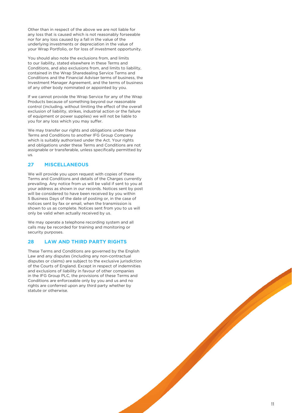Other than in respect of the above we are not liable for any loss that is caused which is not reasonably forseeable nor for any loss caused by a fall in the value of the underlying investments or depreciation in the value of your Wrap Portfolio, or for loss of investment opportunity.

You should also note the exclusions from, and limits to our liability, stated elsewhere in these Terms and Conditions, and also exclusions from, and limits to liability, contained in the Wrap Sharedealing Service Terms and Conditions and the Financial Adviser terms of business, the Investment Manager Agreement, and the terms of business of any other body nominated or appointed by you.

If we cannot provide the Wrap Service for any of the Wrap Products because of something beyond our reasonable control (including, without limiting the effect of the overall exclusion of liability, strikes, industrial action or the failure of equipment or power supplies) we will not be liable to you for any loss which you may suffer.

We may transfer our rights and obligations under these Terms and Conditions to another IFG Group Company which is suitably authorised under the Act. Your rights and obligations under these Terms and Conditions are not assignable or transferable, unless specifically permitted by us.

## **27 MISCELLANEOUS**

We will provide you upon request with copies of these Terms and Conditions and details of the Charges currently prevailing. Any notice from us will be valid if sent to you at your address as shown in our records. Notices sent by post will be considered to have been received by you within 5 Business Days of the date of posting or, in the case of notices sent by fax or email, when the transmission is shown to us as complete. Notices sent from you to us will only be valid when actually received by us.

We may operate a telephone recording system and all calls may be recorded for training and monitoring or security purposes.

#### **28 LAW AND THIRD PARTY RIGHTS**

These Terms and Conditions are governed by the English Law and any disputes (including any non-contractual disputes or claims) are subject to the exclusive jurisdiction of the Courts of England. Except in respect of indemnities and exclusions of liability in favour of other companies in the IFG Group PLC, the provisions of these Terms and Conditions are enforceable only by you and us and no rights are conferred upon any third party whether by statute or otherwise.